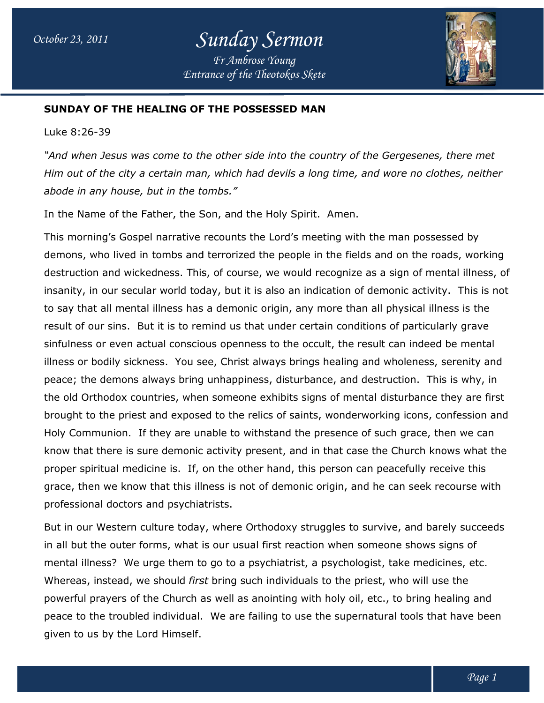

## **SUNDAY OF THE HEALING OF THE POSSESSED MAN**

Luke 8:26-39

*"And when Jesus was come to the other side into the country of the Gergesenes, there met*  "And when Jesus was come to the other side into the country of the Gergesenes, there met<br>Him out of the city a certain man, which had devils a long time, and wore no clothes, neither *abode in any house, but in the tombs." but in tombs."*

In the Name of the Father, the Son, and the Holy Spirit. Amen.

This morning's Gospel narrative recounts the Lord's meeting with the man possessed by demons, who lived in tombs and terrorized the people in the fields and on the roads, working destruction and wickedness. This, of course, we would recognize as a sign of mental illness, of insanity, in our secular world today, but it is also an indication of demonic activity. This is not to say that all mental illness has a demonic origin, any more than all physical illness is the result of our sins. But it is to remind us that under certain conditions of particularly grave sinfulness or even actual conscious openness to the occult, the result can indeed be mental illness or bodily sickness. You see, Christ always brings healing and wholeness, serenity and peace; the demons always bring unhappiness, disturbance, and destruction. This is why, in to say that all mental illness has a demonic origin, any more than all physical illness is the<br>result of our sins. But it is to remind us that under certain conditions of particularly grave<br>sinfulness or even actual consci brought to the priest and exposed to the relics of saints, wonderworking icons, confession and Holy Communion. If they are unable to withstand the presence of such grace, then we can know that there is sure demonic activity present, and in that case the Church knows what the proper spiritual medicine is. If, on the other hand, this person can peacefully receive this grace, then we know that this illness is not of demonic origin, and he can seek recourse with professional doctors and psychiatrists. In the Name of the Father, the Son, and the Holy Spirit. Amen.<br>This morning's Gospel narrative recounts the Lord's meeting with the man possessed by<br>demons, who lived in tombs and terrorized the people in the fields and on ins. But it is to remind us that under certain conditions of particularly grave<br>even actual conscious openness to the occult, the result can indeed be mental<br>ly sickness. You see, Christ always brings healing and wholeness

But in our Western culture today, where Orthodoxy struggles to survive, and barely succeeds in all but the outer forms, what is our usual first reaction when someone shows signs of mental illness? We urge them to go to a psychiatrist, a psychologist, take medicines, etc. Whereas, instead, we should *first* bring such individuals to the priest, who will use the powerful prayers of the Church as well as anointing with holy oil, etc., to bring healing and powerful prayers of the Church as well as anointing with holy oil, etc., to bring healing and<br>peace to the troubled individual. We are failing to use the supernatural tools that have been given to us by the Lord Himself. proper spiritual medicine is. If, on the other hand, this person can peacefully receive this<br>grace, then we know that this illness is not of demonic origin, and he can seek recourse wi<br>professional doctors and psychiatrist a psychiatrist, a psychologist, take medicines, etc.<br>such individuals to the priest, who will use the<br>as anointing with holy oil, etc., to bring healing and<br>e failing to use the supernatural tools that have been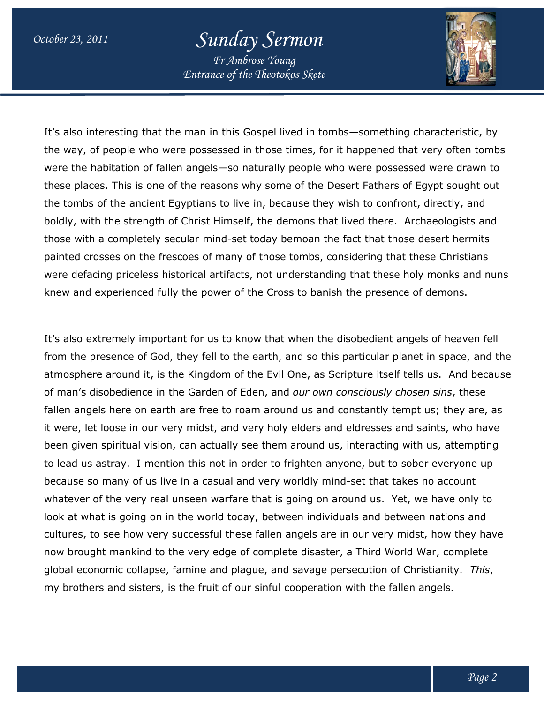## *October 23, 2011 Sunday Sermon*

*Entrance of the Theotokos Skete Fr Ambrose Young*



It's also interesting that the man in this Gospel lived in tombs—something characteristic, by It's also interesting that the man in this Gospel lived in tombs—something characteristic, by<br>the way, of people who were possessed in those times, for it happened that very often tombs were the habitation of fallen angels—so naturally people who were possessed were drawn to these places. This is one of the reasons why some of the Desert Fathers of Egypt sought out these places. This is one of the reasons why some of the Desert Fathers of Egypt sought o<br>the tombs of the ancient Egyptians to live in, because they wish to confront, directly, and boldly, with the strength of Christ Himself, the demons that lived there. Archaeologists and those with a completely secular mind-set today bemoan the fact that those desert hermits painted crosses on the frescoes of many of those tombs, considering that these Christians were defacing priceless historical artifacts, not understanding that these holy monks and nuns knew and experienced fully the power of the Cross to banish the presence of demons. live in, because they wish to confront, directly, and<br>self, the demons that lived there. Archaeologists an<br>set today bemoan the fact that those desert hermits<br>ny of those tombs, considering that these Christians

It's also extremely important for us to know that when the disobedient angels of heaven fell were defacing priceless historical artifacts, not understanding that these holy monks and nuns<br>knew and experienced fully the power of the Cross to banish the presence of demons.<br>It's also extremely important for us to kno atmosphere around it, is the Kingdom of the Evil One, as Scripture itself tells us. And because of man's disobedience in the Garden of Eden, and our own consciously chosen sins fallen angels here on earth are free to roam around us and constantly tempt us; they are, as it were, let loose in our very midst, and very holy elders and eldresses and saints, who have been given spiritual vision, can actually see them around us, interacting with us, attempting to lead us astray. I mention this not in order to frighten anyone, but to sober everyone up because so many of us live in a casual and very worldly mind-set that takes no account whatever of the very real unseen warfare that is going on around us. Yet, we have only to look at what is going on in the world today, between individuals and between nations and cultures, to see how very successful these fallen angels are in our very midst, now brought mankind to the very edge of complete disaster, a Third World War, complete global economic collapse, famine and plague, and savage persecution of Christianity. my brothers and sisters, is the fruit of our sinful cooperation with the fallen angels. it were, let loose in our very midst, and very holy elders and eldresses and saints, who ł<br>been given spiritual vision, can actually see them around us, interacting with us, attemp<br>to lead us astray. I mention this not in :he very real unseen warfare that is going on around us. Yet, we have only to<br>is going on in the world today, between individuals and between nations and<br>ee how very successful these fallen angels are in our very midst, ho nkind to the very edge of complete disaster, a Third World \<br>collapse, famine and plague, and savage persecution of Chi<br>sisters, is the fruit of our sinful cooperation with the fallen r us to know that when the disobedient angels of heaven fo<br>fell to the earth, and so this particular planet in space, and<br>ngdom of the Evil One, as Scripture itself tells us. And bec<br>irden of Eden, and *our own consciously This*,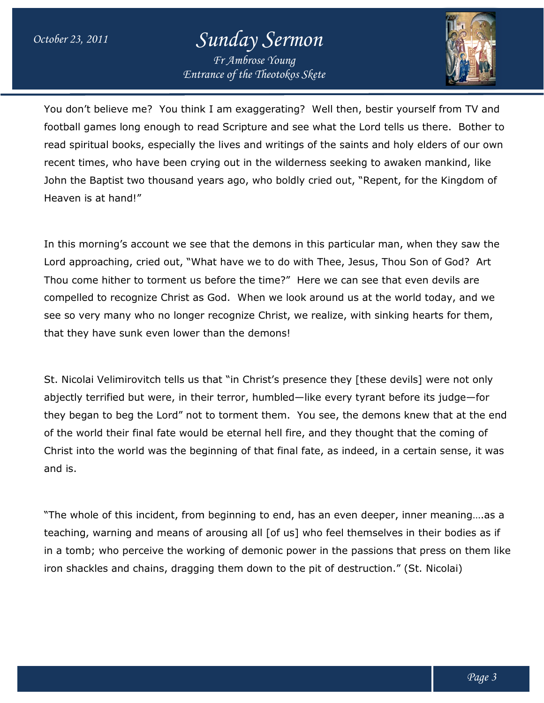## *October 23, 2011 Sunday Sermon*

*Entrance of the Theotokos Skete Fr Ambrose Young*



You don't believe me? You think I am exaggerating? Well then, bestir yourself from TV and football games long enough to read Scripture and see what the Lord tells us there. Bother to read spiritual books, especially the lives and writings of the saints and holy elders of our own recent times, who have been crying out in the wilderness seeking to awaken mankind, like John the Baptist two thousand years ago, who boldly cried out, "Repent, for the Kingdom of Heaven is at hand!" ou don't believe me? You think I am exaggerating? Well then, bestir yourself from TV and<br>otball games long enough to read Scripture and see what the Lord tells us there. Bother to<br>ad spiritual books, especially the lives a

In this morning's account we see that the demons in this particular man, when they saw the Lord approaching, cried out, "What have we to do with Thee, Jesus, Thou Son of God? Art Lord approaching, cried out, "What have we to do with Thee, Jesus, Thou Son of God? A<br>Thou come hither to torment us before the time?" Here we can see that even devils are compelled to recognize Christ as God. When we look around us at the world today, and we see so very many who no longer recognize Christ, we realize, with sinking hearts for them, that they have sunk even lower than the demons! compelled to recognize Christ as God. When we look around us at the world today, a<br>see so very many who no longer recognize Christ, we realize, with sinking hearts for t<br>that they have sunk even lower than the demons!<br>St. re the time?" Here we can see that even devils are<br>|. When we look around us at the world today, and we<br>|<br>|. When we look around us at the world today, and we<br>|<br>|<br>|singparts for them,<br>the demons!<br>|<br>|. "in Christ's presence

St. Nicolai Velimirovitch tells us that "in Christ's presence they [these devils] were not only abjectly terrified but were, in their terror, humbled—like every tyrant before its judge—for they began to beg the Lord" not to torment them. You see, the demons knew that at the end of the world their final fate would be eternal hell fire, and they thought that the coming of Christ into the world was the beginning of that final fate, as indeed, in a certain sense, it was and is. t them. You see, the demons knew that at the end<br>al hell fire, and they thought that the coming of<br>that final fate, as indeed, in a certain sense, it was<br>j to end, has an even deeper, inner meaning....as a<br>all [of us] who

"The whole of this incident, from beginning to end, has an even deeper, inner meaning….as a teaching, warning and means of arousing all [of us] who feel themselves in their bodies as if in a tomb; who perceive the working of demonic power in the passions that press on them like iron shackles and chains, dragging them down to the pit of destruction." (St. Nicolai) e world their final fate would be eternal hell fire, and they thought that the coming of<br>st into the world was the beginning of that final fate, as indeed, in a certain sense, it was<br>is.<br>whole of this incident, from beginn